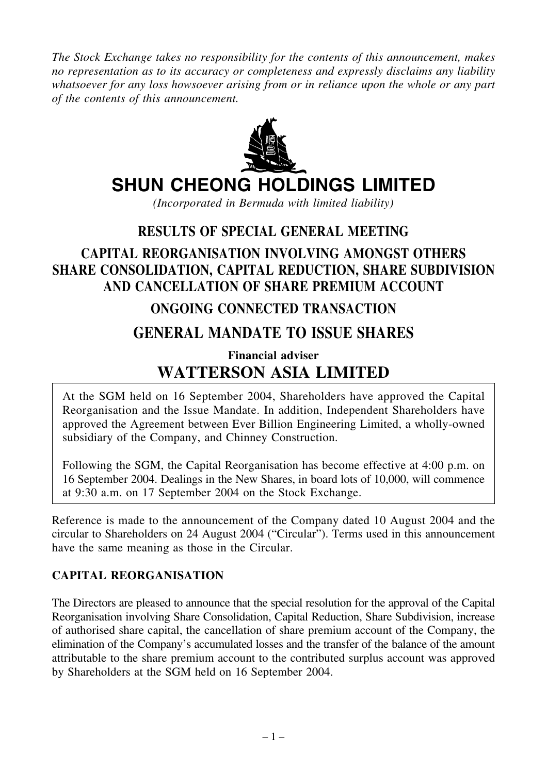*The Stock Exchange takes no responsibility for the contents of this announcement, makes no representation as to its accuracy or completeness and expressly disclaims any liability whatsoever for any loss howsoever arising from or in reliance upon the whole or any part of the contents of this announcement.*



# **SHUN CHEONG HOLDINGS LIMITED**

*(Incorporated in Bermuda with limited liability)*

### **RESULTS OF SPECIAL GENERAL MEETING**

## **CAPITAL REORGANISATION INVOLVING AMONGST OTHERS SHARE CONSOLIDATION, CAPITAL REDUCTION, SHARE SUBDIVISION AND CANCELLATION OF SHARE PREMIUM ACCOUNT**

### **ONGOING CONNECTED TRANSACTION**

## **GENERAL MANDATE TO ISSUE SHARES**

## **Financial adviser WATTERSON ASIA LIMITED**

At the SGM held on 16 September 2004, Shareholders have approved the Capital Reorganisation and the Issue Mandate. In addition, Independent Shareholders have approved the Agreement between Ever Billion Engineering Limited, a wholly-owned subsidiary of the Company, and Chinney Construction.

Following the SGM, the Capital Reorganisation has become effective at 4:00 p.m. on 16 September 2004. Dealings in the New Shares, in board lots of 10,000, will commence at 9:30 a.m. on 17 September 2004 on the Stock Exchange.

Reference is made to the announcement of the Company dated 10 August 2004 and the circular to Shareholders on 24 August 2004 ("Circular"). Terms used in this announcement have the same meaning as those in the Circular.

#### **CAPITAL REORGANISATION**

The Directors are pleased to announce that the special resolution for the approval of the Capital Reorganisation involving Share Consolidation, Capital Reduction, Share Subdivision, increase of authorised share capital, the cancellation of share premium account of the Company, the elimination of the Company's accumulated losses and the transfer of the balance of the amount attributable to the share premium account to the contributed surplus account was approved by Shareholders at the SGM held on 16 September 2004.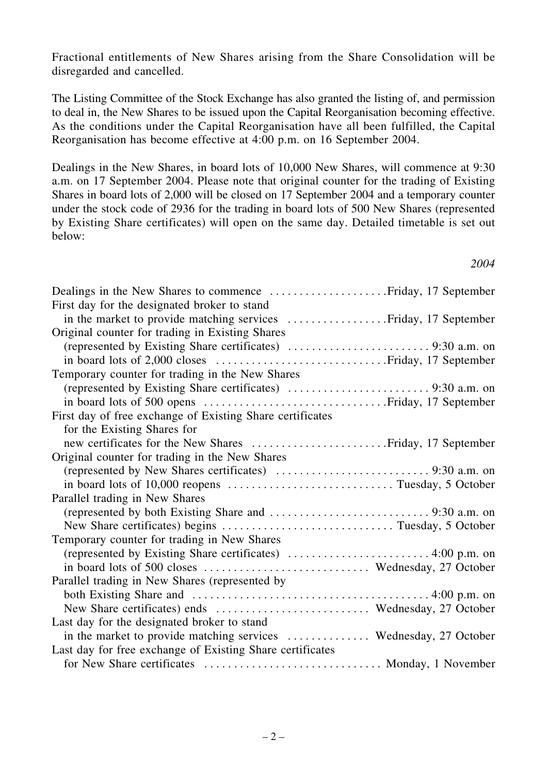Fractional entitlements of New Shares arising from the Share Consolidation will be disregarded and cancelled.

The Listing Committee of the Stock Exchange has also granted the listing of, and permission to deal in, the New Shares to be issued upon the Capital Reorganisation becoming effective. As the conditions under the Capital Reorganisation have all been fulfilled, the Capital Reorganisation has become effective at 4:00 p.m. on 16 September 2004.

Dealings in the New Shares, in board lots of 10,000 New Shares, will commence at 9:30 a.m. on 17 September 2004. Please note that original counter for the trading of Existing Shares in board lots of 2,000 will be closed on 17 September 2004 and a temporary counter under the stock code of 2936 for the trading in board lots of 500 New Shares (represented by Existing Share certificates) will open on the same day. Detailed timetable is set out below:

| First day for the designated broker to stand                      |
|-------------------------------------------------------------------|
|                                                                   |
| Original counter for trading in Existing Shares                   |
|                                                                   |
|                                                                   |
| Temporary counter for trading in the New Shares                   |
|                                                                   |
|                                                                   |
| First day of free exchange of Existing Share certificates         |
| for the Existing Shares for                                       |
|                                                                   |
| Original counter for trading in the New Shares                    |
|                                                                   |
|                                                                   |
| Parallel trading in New Shares                                    |
|                                                                   |
|                                                                   |
| Temporary counter for trading in New Shares                       |
|                                                                   |
| in board lots of 500 closes  Wednesday, 27 October                |
| Parallel trading in New Shares (represented by                    |
|                                                                   |
| New Share certificates) ends  Wednesday, 27 October               |
| Last day for the designated broker to stand                       |
| in the market to provide matching services  Wednesday, 27 October |
| Last day for free exchange of Existing Share certificates         |
| for New Share certificates  Monday, 1 November                    |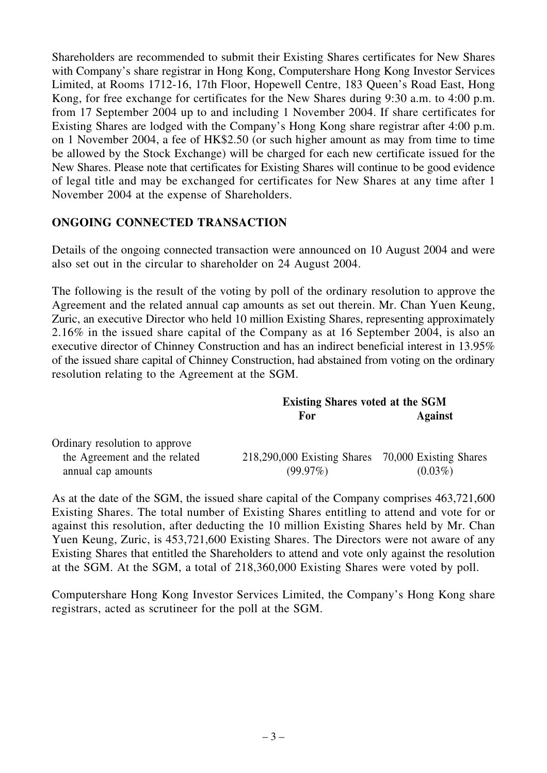Shareholders are recommended to submit their Existing Shares certificates for New Shares with Company's share registrar in Hong Kong, Computershare Hong Kong Investor Services Limited, at Rooms 1712-16, 17th Floor, Hopewell Centre, 183 Queen's Road East, Hong Kong, for free exchange for certificates for the New Shares during 9:30 a.m. to 4:00 p.m. from 17 September 2004 up to and including 1 November 2004. If share certificates for Existing Shares are lodged with the Company's Hong Kong share registrar after 4:00 p.m. on 1 November 2004, a fee of HK\$2.50 (or such higher amount as may from time to time be allowed by the Stock Exchange) will be charged for each new certificate issued for the New Shares. Please note that certificates for Existing Shares will continue to be good evidence of legal title and may be exchanged for certificates for New Shares at any time after 1 November 2004 at the expense of Shareholders.

#### **ONGOING CONNECTED TRANSACTION**

Details of the ongoing connected transaction were announced on 10 August 2004 and were also set out in the circular to shareholder on 24 August 2004.

The following is the result of the voting by poll of the ordinary resolution to approve the Agreement and the related annual cap amounts as set out therein. Mr. Chan Yuen Keung, Zuric, an executive Director who held 10 million Existing Shares, representing approximately 2.16% in the issued share capital of the Company as at 16 September 2004, is also an executive director of Chinney Construction and has an indirect beneficial interest in 13.95% of the issued share capital of Chinney Construction, had abstained from voting on the ordinary resolution relating to the Agreement at the SGM.

|                                | <b>Existing Shares voted at the SGM</b>            |                |
|--------------------------------|----------------------------------------------------|----------------|
|                                | For                                                | <b>Against</b> |
| Ordinary resolution to approve |                                                    |                |
| the Agreement and the related  | 218,290,000 Existing Shares 70,000 Existing Shares |                |
| annual cap amounts             | $(99.97\%)$                                        | $(0.03\%)$     |

As at the date of the SGM, the issued share capital of the Company comprises 463,721,600 Existing Shares. The total number of Existing Shares entitling to attend and vote for or against this resolution, after deducting the 10 million Existing Shares held by Mr. Chan Yuen Keung, Zuric, is 453,721,600 Existing Shares. The Directors were not aware of any Existing Shares that entitled the Shareholders to attend and vote only against the resolution at the SGM. At the SGM, a total of 218,360,000 Existing Shares were voted by poll.

Computershare Hong Kong Investor Services Limited, the Company's Hong Kong share registrars, acted as scrutineer for the poll at the SGM.